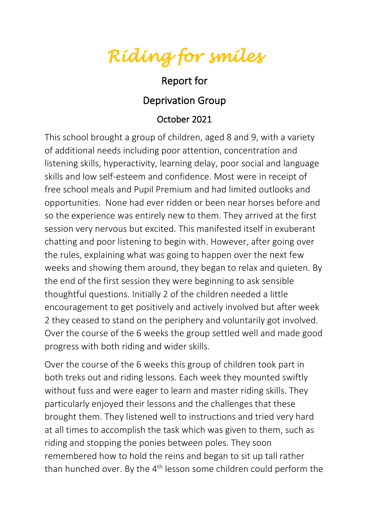*Riding for smiles* 

## Report for

## Deprivation Group

## October 2021

This school brought a group of children, aged 8 and 9, with a variety of additional needs including poor attention, concentration and listening skills, hyperactivity, learning delay, poor social and language skills and low self-esteem and confidence. Most were in receipt of free school meals and Pupil Premium and had limited outlooks and opportunities. None had ever ridden or been near horses before and so the experience was entirely new to them. They arrived at the first session very nervous but excited. This manifested itself in exuberant chatting and poor listening to begin with. However, after going over the rules, explaining what was going to happen over the next few weeks and showing them around, they began to relax and quieten. By the end of the first session they were beginning to ask sensible thoughtful questions. Initially 2 of the children needed a little encouragement to get positively and actively involved but after week 2 they ceased to stand on the periphery and voluntarily got involved. Over the course of the 6 weeks the group settled well and made good progress with both riding and wider skills.

Over the course of the 6 weeks this group of children took part in both treks out and riding lessons. Each week they mounted swiftly without fuss and were eager to learn and master riding skills. They particularly enjoyed their lessons and the challenges that these brought them. They listened well to instructions and tried very hard at all times to accomplish the task which was given to them, such as riding and stopping the ponies between poles. They soon remembered how to hold the reins and began to sit up tall rather than hunched over. By the  $4<sup>th</sup>$  lesson some children could perform the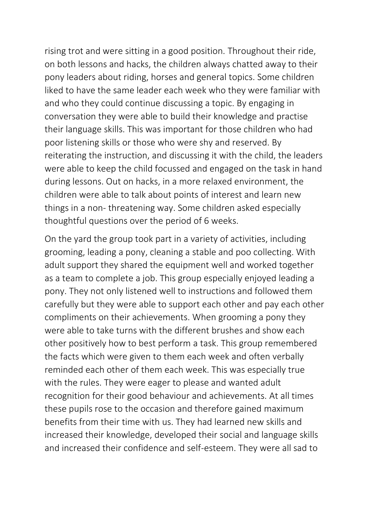rising trot and were sitting in a good position. Throughout their ride, on both lessons and hacks, the children always chatted away to their pony leaders about riding, horses and general topics. Some children liked to have the same leader each week who they were familiar with and who they could continue discussing a topic. By engaging in conversation they were able to build their knowledge and practise their language skills. This was important for those children who had poor listening skills or those who were shy and reserved. By reiterating the instruction, and discussing it with the child, the leaders were able to keep the child focussed and engaged on the task in hand during lessons. Out on hacks, in a more relaxed environment, the children were able to talk about points of interest and learn new things in a non- threatening way. Some children asked especially thoughtful questions over the period of 6 weeks.

On the yard the group took part in a variety of activities, including grooming, leading a pony, cleaning a stable and poo collecting. With adult support they shared the equipment well and worked together as a team to complete a job. This group especially enjoyed leading a pony. They not only listened well to instructions and followed them carefully but they were able to support each other and pay each other compliments on their achievements. When grooming a pony they were able to take turns with the different brushes and show each other positively how to best perform a task. This group remembered the facts which were given to them each week and often verbally reminded each other of them each week. This was especially true with the rules. They were eager to please and wanted adult recognition for their good behaviour and achievements. At all times these pupils rose to the occasion and therefore gained maximum benefits from their time with us. They had learned new skills and increased their knowledge, developed their social and language skills and increased their confidence and self-esteem. They were all sad to